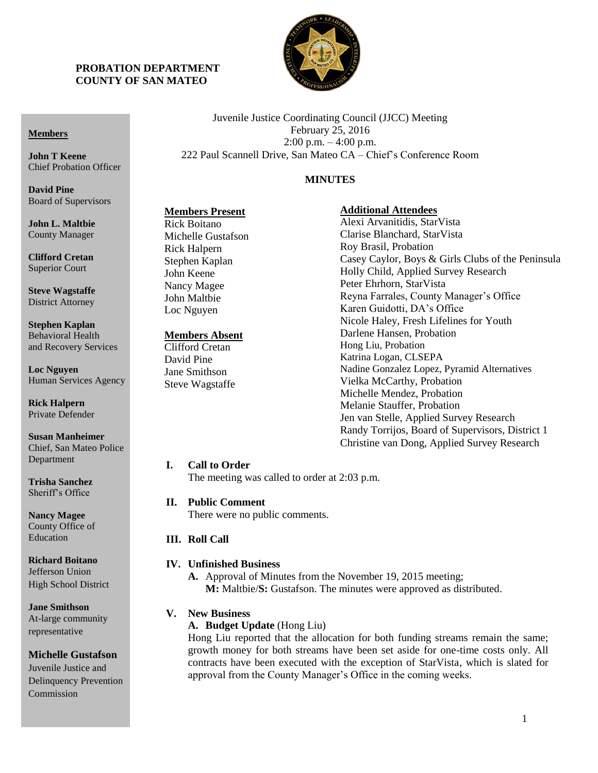### **PROBATION DEPARTMENT COUNTY OF SAN MATEO**



Juvenile Justice Coordinating Council (JJCC) Meeting February 25, 2016 2:00 p.m. – 4:00 p.m. 222 Paul Scannell Drive, San Mateo CA – Chief's Conference Room

### **MINUTES**

### **Members Present**

**John L. Maltbie** County Manager

Board of Supervisors

**Members**

**John T Keene**

**David Pine**

Chief Probation Officer

**Clifford Cretan** Superior Court

**Steve Wagstaffe** District Attorney

**Stephen Kaplan** Behavioral Health and Recovery Services

**Loc Nguyen** Human Services Agency

**Rick Halpern** Private Defender

**Susan Manheimer** Chief, San Mateo Police Department

**Trisha Sanchez** Sheriff's Office

**Nancy Magee** County Office of Education

**Richard Boitano** Jefferson Union High School District

**Jane Smithson** At-large community representative

#### **Michelle Gustafson**

Juvenile Justice and Delinquency Prevention Commission

Rick Boitano Michelle Gustafson Rick Halpern Stephen Kaplan John Keene Nancy Magee John Maltbie Loc Nguyen

### **Members Absent**

Clifford Cretan David Pine Jane Smithson Steve Wagstaffe

# **Additional Attendees**

Alexi Arvanitidis, StarVista Clarise Blanchard, StarVista Roy Brasil, Probation Casey Caylor, Boys & Girls Clubs of the Peninsula Holly Child, Applied Survey Research Peter Ehrhorn, StarVista Reyna Farrales, County Manager's Office Karen Guidotti, DA's Office Nicole Haley, Fresh Lifelines for Youth Darlene Hansen, Probation Hong Liu, Probation Katrina Logan, CLSEPA Nadine Gonzalez Lopez, Pyramid Alternatives Vielka McCarthy, Probation Michelle Mendez, Probation Melanie Stauffer, Probation Jen van Stelle, Applied Survey Research Randy Torrijos, Board of Supervisors, District 1 Christine van Dong, Applied Survey Research

#### **I. Call to Order**

The meeting was called to order at 2:03 p.m.

#### **II. Public Comment**

There were no public comments.

### **III. Roll Call**

### **IV. Unfinished Business**

**A.** Approval of Minutes from the November 19, 2015 meeting; **M:** Maltbie/**S:** Gustafson. The minutes were approved as distributed.

#### **V. New Business**

**A. Budget Update** (Hong Liu)

Hong Liu reported that the allocation for both funding streams remain the same; growth money for both streams have been set aside for one-time costs only. All contracts have been executed with the exception of StarVista, which is slated for approval from the County Manager's Office in the coming weeks.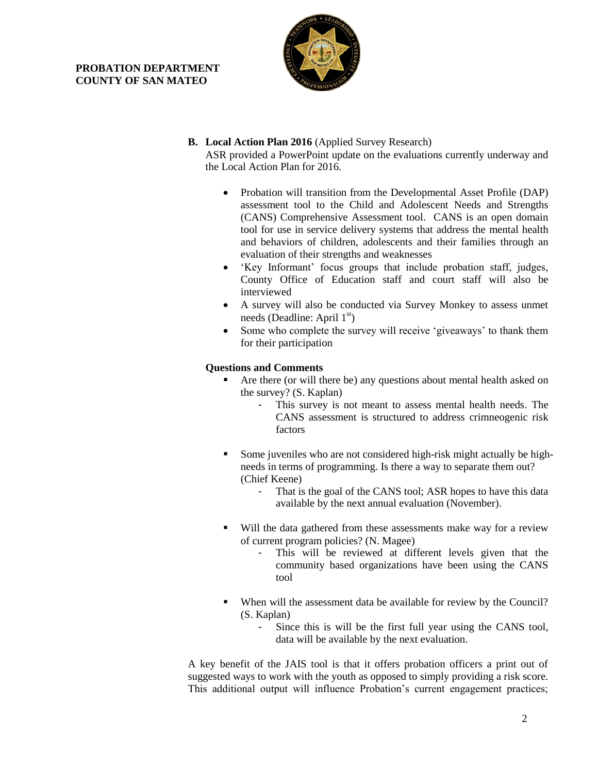### **PROBATION DEPARTMENT COUNTY OF SAN MATEO**



### **B. Local Action Plan 2016** (Applied Survey Research)

ASR provided a PowerPoint update on the evaluations currently underway and the Local Action Plan for 2016.

- Probation will transition from the Developmental Asset Profile (DAP) assessment tool to the Child and Adolescent Needs and Strengths (CANS) Comprehensive Assessment tool. CANS is an open domain tool for use in service delivery systems that address the mental health and behaviors of children, adolescents and their families through an evaluation of their strengths and weaknesses
- 'Key Informant' focus groups that include probation staff, judges, County Office of Education staff and court staff will also be interviewed
- A survey will also be conducted via Survey Monkey to assess unmet needs (Deadline: April  $1<sup>st</sup>$ )
- Some who complete the survey will receive 'giveaways' to thank them for their participation

### **Questions and Comments**

- Are there (or will there be) any questions about mental health asked on the survey? (S. Kaplan)
	- This survey is not meant to assess mental health needs. The CANS assessment is structured to address crimneogenic risk factors
- Some juveniles who are not considered high-risk might actually be highneeds in terms of programming. Is there a way to separate them out? (Chief Keene)
	- That is the goal of the CANS tool; ASR hopes to have this data available by the next annual evaluation (November).
- Will the data gathered from these assessments make way for a review of current program policies? (N. Magee)
	- This will be reviewed at different levels given that the community based organizations have been using the CANS tool
- When will the assessment data be available for review by the Council? (S. Kaplan)
	- Since this is will be the first full year using the CANS tool, data will be available by the next evaluation.

A key benefit of the JAIS tool is that it offers probation officers a print out of suggested ways to work with the youth as opposed to simply providing a risk score. This additional output will influence Probation's current engagement practices;